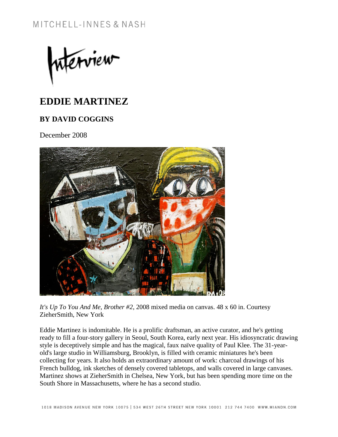merview

## **EDDIE MARTINEZ**

## **BY DAVID COGGINS**

December 2008



*It's Up To You And Me, Brother #2*, 2008 mixed media on canvas. 48 x 60 in. Courtesy ZieherSmith, New York

Eddie Martinez is indomitable. He is a prolific draftsman, an active curator, and he's getting ready to fill a four-story gallery in Seoul, South Korea, early next year. His idiosyncratic drawing style is deceptively simple and has the magical, faux naïve quality of Paul Klee. The 31-yearold's large studio in Williamsburg, Brooklyn, is filled with ceramic miniatures he's been collecting for years. It also holds an extraordinary amount of work: charcoal drawings of his French bulldog, ink sketches of densely covered tabletops, and walls covered in large canvases. Martinez shows at ZieherSmith in Chelsea, New York, but has been spending more time on the South Shore in Massachusetts, where he has a second studio.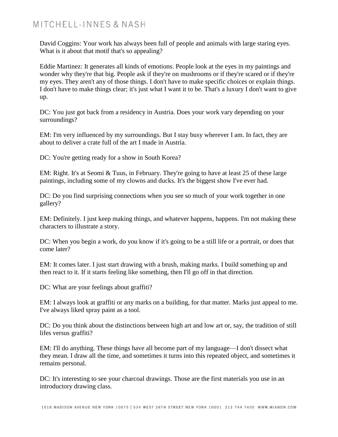## MITCHELL-INNES & NASH

David Coggins: Your work has always been full of people and animals with large staring eyes. What is it about that motif that's so appealing?

Eddie Martinez: It generates all kinds of emotions. People look at the eyes in my paintings and wonder why they're that big. People ask if they're on mushrooms or if they're scared or if they're my eyes. They aren't any of those things. I don't have to make specific choices or explain things. I don't have to make things clear; it's just what I want it to be. That's a luxury I don't want to give up.

DC: You just got back from a residency in Austria. Does your work vary depending on your surroundings?

EM: I'm very influenced by my surroundings. But I stay busy wherever I am. In fact, they are about to deliver a crate full of the art I made in Austria.

DC: You're getting ready for a show in South Korea?

EM: Right. It's at Seomi & Tuus, in February. They're going to have at least 25 of these large paintings, including some of my clowns and ducks. It's the biggest show I've ever had.

DC: Do you find surprising connections when you see so much of your work together in one gallery?

EM: Definitely. I just keep making things, and whatever happens, happens. I'm not making these characters to illustrate a story.

DC: When you begin a work, do you know if it's going to be a still life or a portrait, or does that come later?

EM: It comes later. I just start drawing with a brush, making marks. I build something up and then react to it. If it starts feeling like something, then I'll go off in that direction.

DC: What are your feelings about graffiti?

EM: I always look at graffiti or any marks on a building, for that matter. Marks just appeal to me. I've always liked spray paint as a tool.

DC: Do you think about the distinctions between high art and low art or, say, the tradition of still lifes versus graffiti?

EM: I'll do anything. These things have all become part of my language—I don't dissect what they mean. I draw all the time, and sometimes it turns into this repeated object, and sometimes it remains personal.

DC: It's interesting to see your charcoal drawings. Those are the first materials you use in an introductory drawing class.